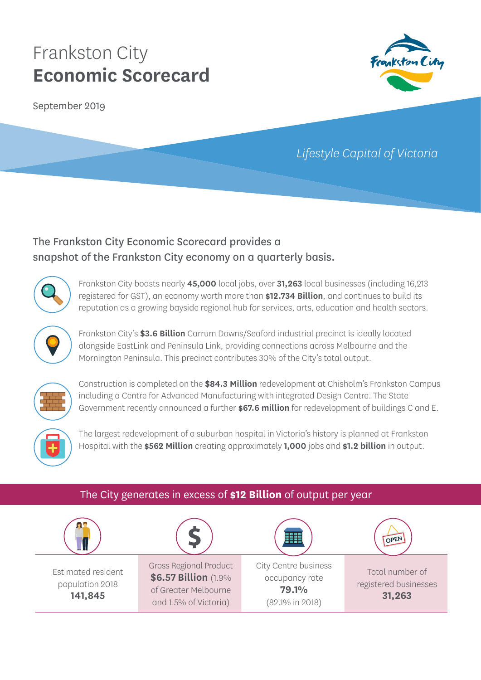September 2019



## *Lifestyle Capital of Victoria*

## The Frankston City Economic Scorecard provides a snapshot of the Frankston City economy on a quarterly basis.



Frankston City boasts nearly **45,000** local jobs, over **31,263** local businesses (including 16,213 registered for GST), an economy worth more than **\$12.734 Billion**, and continues to build its reputation as a growing bayside regional hub for services, arts, education and health sectors.



Frankston City's **\$3.6 Billion** Carrum Downs/Seaford industrial precinct is ideally located alongside EastLink and Peninsula Link, providing connections across Melbourne and the Mornington Peninsula. This precinct contributes 30% of the City's total output.



Construction is completed on the **\$84.3 Million** redevelopment at Chisholm's Frankston Campus including a Centre for Advanced Manufacturing with integrated Design Centre. The State Government recently announced a further **\$67.6 million** for redevelopment of buildings C and E.



The largest redevelopment of a suburban hospital in Victoria's history is planned at Frankston Hospital with the **\$562 Million** creating approximately **1,000** jobs and **\$1.2 billion** in output.

### The City generates in excess of **\$12 Billion** of output per year

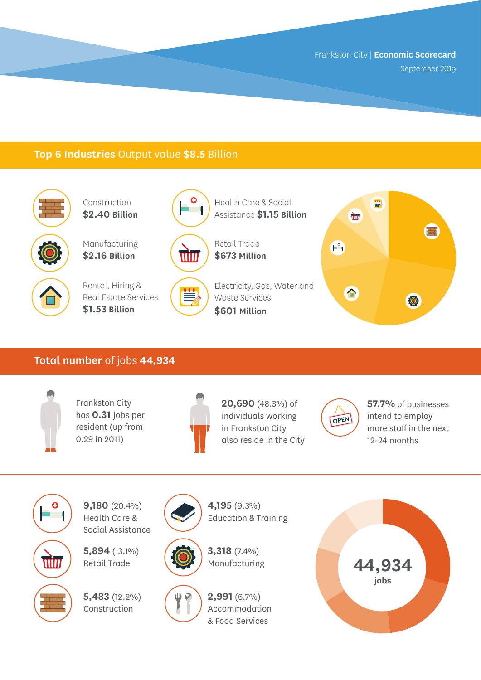September 2019

#### **Top 6 Industries** Output value **\$8.5** Billion



Construction **\$2.40 Billion**

Manufacturing **\$2.16 Billion**



Rental, Hiring & Real Estate Services **\$1.53 Billion**



Health Care & Social Assistance **\$1.15 Billion**



Retail Trade **\$673 Million**

Electricity, Gas, Water and ≝ Waste Services **\$601 Million**



#### **Total number** of jobs **44,934**



Frankston City has **0.31** jobs per resident (up from 0.29 in 2011)



**20,690** (48.3%) of individuals working in Frankston City also reside in the City



**57.7%** of businesses intend to employ more staff in the next 12-24 months



**9,180** (20.4%) Health Care & Social Assistance

**5,894** (13.1%) Retail Trade

**5,483** (12.2%) Construction





Education & Training

**4,195** (9.3%)

 $\frac{1}{2}$ 

**2,991** (6.7%) Accommodation

& Food Services

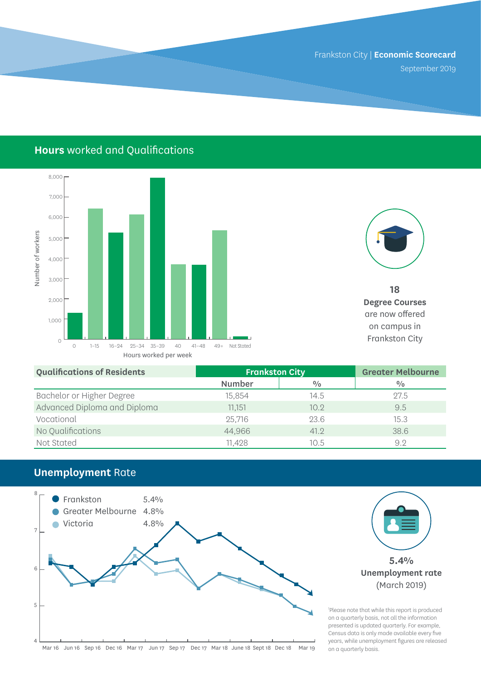September 2019

## **Hours** worked and Qualifications





**18 Degree Courses**  are now offered on campus in

| <b>Qualifications of Residents</b> | <b>Frankston City</b> |               | <b>Greater Melbourne</b> |
|------------------------------------|-----------------------|---------------|--------------------------|
|                                    | <b>Number</b>         | $\frac{0}{0}$ | $\frac{0}{0}$            |
| Bachelor or Higher Degree          | 15,854                | 14.5          | 27.5                     |
| Advanced Diploma and Diploma       | 11,151                | 10.9          | 9.5                      |
| Vocational                         | 25,716                | 23.6          | 15.3                     |
| No Qualifications                  | 44,966                | 41.2          | 38.6                     |
| Not Stated                         | 11,428                | 10.5          | 9.2                      |

## **Unemployment** Rate

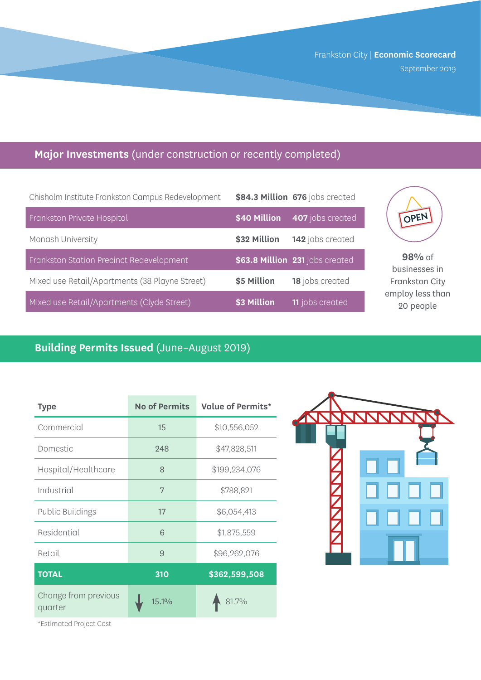Frankston City | **Economic Scorecard**  September 2019

## **Major Investments** (under construction or recently completed)

| Chisholm Institute Frankston Campus Redevelopment |              | \$84.3 Million 676 jobs created |
|---------------------------------------------------|--------------|---------------------------------|
| Frankston Private Hospital                        | \$40 Million | 407 jobs created                |
| Monash University                                 | \$32 Million | 142 jobs created                |
| Frankston Station Precinct Redevelopment          |              | \$63.8 Million 231 jobs created |
| Mixed use Retail/Apartments (38 Playne Street)    | \$5 Million  | 18 jobs created                 |
| Mixed use Retail/Apartments (Clyde Street)        | \$3 Million  | <b>11</b> jobs created          |



**98%** of businesses in Frankston City employ less than 20 people

## **Building Permits Issued** (June–August 2019)

| <b>Type</b>                     | <b>No of Permits</b> | <b>Value of Permits*</b> |
|---------------------------------|----------------------|--------------------------|
| Commercial                      | 15                   | \$10,556,052             |
| Domestic                        | 248                  | \$47,828,511             |
| Hospital/Healthcare             | 8                    | \$199,234,076            |
| Industrial                      | 7                    | \$788,821                |
| <b>Public Buildings</b>         | 17                   | \$6,054,413              |
| Residential                     | 6                    | \$1,875,559              |
| Retail                          | 9                    | \$96,262,076             |
| <b>TOTAL</b>                    | 310                  | \$362,599,508            |
| Change from previous<br>quarter | 15.1%                | 81.7%                    |



\*Estimated Project Cost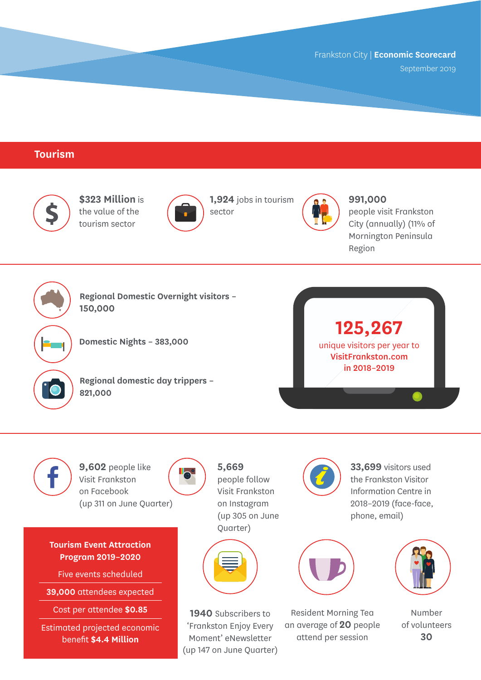September 2019

#### **Tourism**





**9,602** people like Visit Frankston on Facebook (up 311 on June Quarter)

**Tourism Event Attraction Program 2019–2020**

Five events scheduled

**39,000** attendees expected

Cost per attendee **\$0.85**

Estimated projected economic benefit **\$4.4 Million**



**5,669** people follow Visit Frankston on Instagram (up 305 on June Quarter)



**1940** Subscribers to 'Frankston Enjoy Every Moment' eNewsletter (up 147 on June Quarter) the Frankston Visitor Information Centre in 2018–2019 (face-face, phone, email)



Resident Morning Tea an average of **20** people attend per session



Number of volunteers **30**